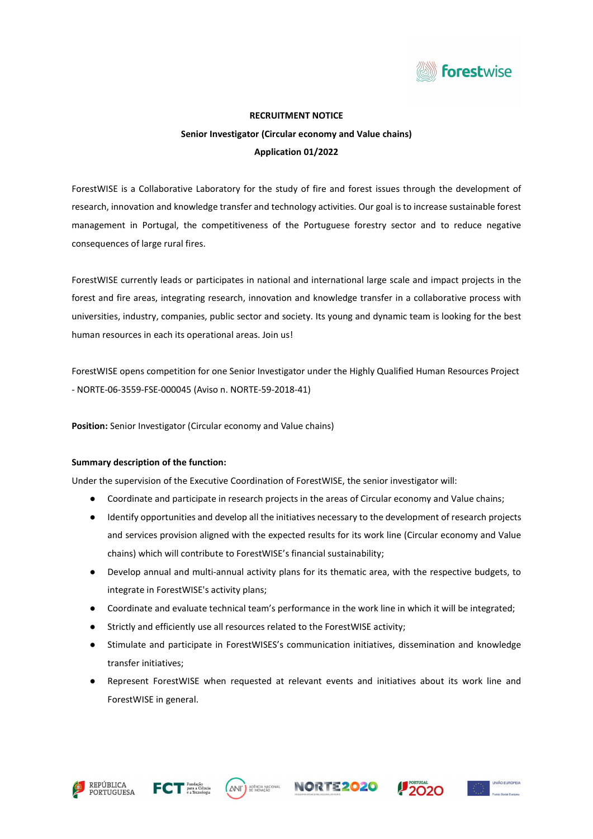

#### RECRUITMENT NOTICE

# Senior Investigator (Circular economy and Value chains) Application 01/2022

ForestWISE is a Collaborative Laboratory for the study of fire and forest issues through the development of research, innovation and knowledge transfer and technology activities. Our goal is to increase sustainable forest management in Portugal, the competitiveness of the Portuguese forestry sector and to reduce negative consequences of large rural fires.

ForestWISE currently leads or participates in national and international large scale and impact projects in the forest and fire areas, integrating research, innovation and knowledge transfer in a collaborative process with universities, industry, companies, public sector and society. Its young and dynamic team is looking for the best human resources in each its operational areas. Join us!

ForestWISE opens competition for one Senior Investigator under the Highly Qualified Human Resources Project - NORTE-06-3559-FSE-000045 (Aviso n. NORTE-59-2018-41)

Position: Senior Investigator (Circular economy and Value chains)

## Summary description of the function:

Under the supervision of the Executive Coordination of ForestWISE, the senior investigator will:

- Coordinate and participate in research projects in the areas of Circular economy and Value chains;
- Identify opportunities and develop all the initiatives necessary to the development of research projects and services provision aligned with the expected results for its work line (Circular economy and Value chains) which will contribute to ForestWISE's financial sustainability;
- Develop annual and multi-annual activity plans for its thematic area, with the respective budgets, to integrate in ForestWISE's activity plans;
- Coordinate and evaluate technical team's performance in the work line in which it will be integrated;
- Strictly and efficiently use all resources related to the ForestWISE activity;
- Stimulate and participate in ForestWISES's communication initiatives, dissemination and knowledge transfer initiatives;
- Represent ForestWISE when requested at relevant events and initiatives about its work line and ForestWISE in general.









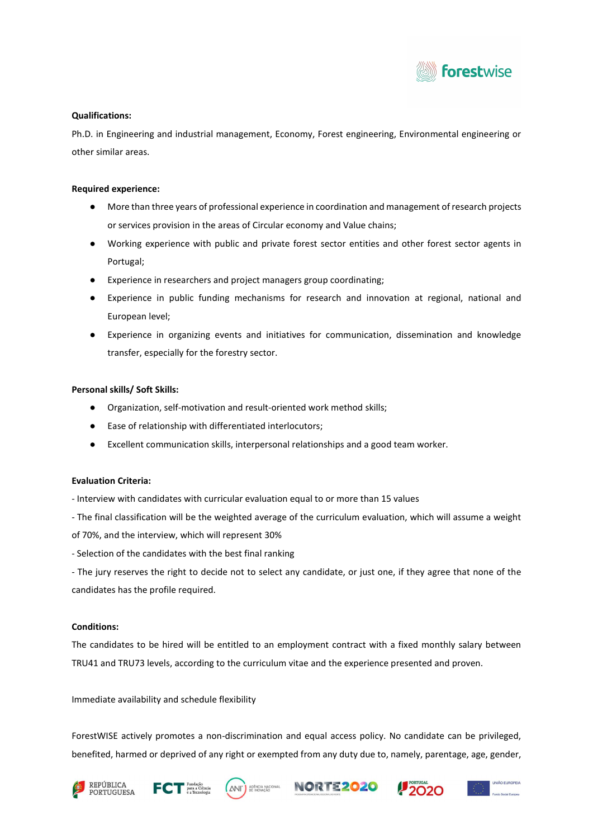

## Qualifications:

Ph.D. in Engineering and industrial management, Economy, Forest engineering, Environmental engineering or other similar areas.

#### Required experience:

- More than three years of professional experience in coordination and management of research projects or services provision in the areas of Circular economy and Value chains;
- Working experience with public and private forest sector entities and other forest sector agents in Portugal;
- Experience in researchers and project managers group coordinating;
- Experience in public funding mechanisms for research and innovation at regional, national and European level;
- Experience in organizing events and initiatives for communication, dissemination and knowledge transfer, especially for the forestry sector.

#### Personal skills/ Soft Skills:

- Organization, self-motivation and result-oriented work method skills;
- Ease of relationship with differentiated interlocutors;
- Excellent communication skills, interpersonal relationships and a good team worker.

## Evaluation Criteria:

- Interview with candidates with curricular evaluation equal to or more than 15 values
- The final classification will be the weighted average of the curriculum evaluation, which will assume a weight
- of 70%, and the interview, which will represent 30%
- Selection of the candidates with the best final ranking

- The jury reserves the right to decide not to select any candidate, or just one, if they agree that none of the candidates has the profile required.

## Conditions:

The candidates to be hired will be entitled to an employment contract with a fixed monthly salary between TRU41 and TRU73 levels, according to the curriculum vitae and the experience presented and proven.

Immediate availability and schedule flexibility

ForestWISE actively promotes a non-discrimination and equal access policy. No candidate can be privileged, benefited, harmed or deprived of any right or exempted from any duty due to, namely, parentage, age, gender,